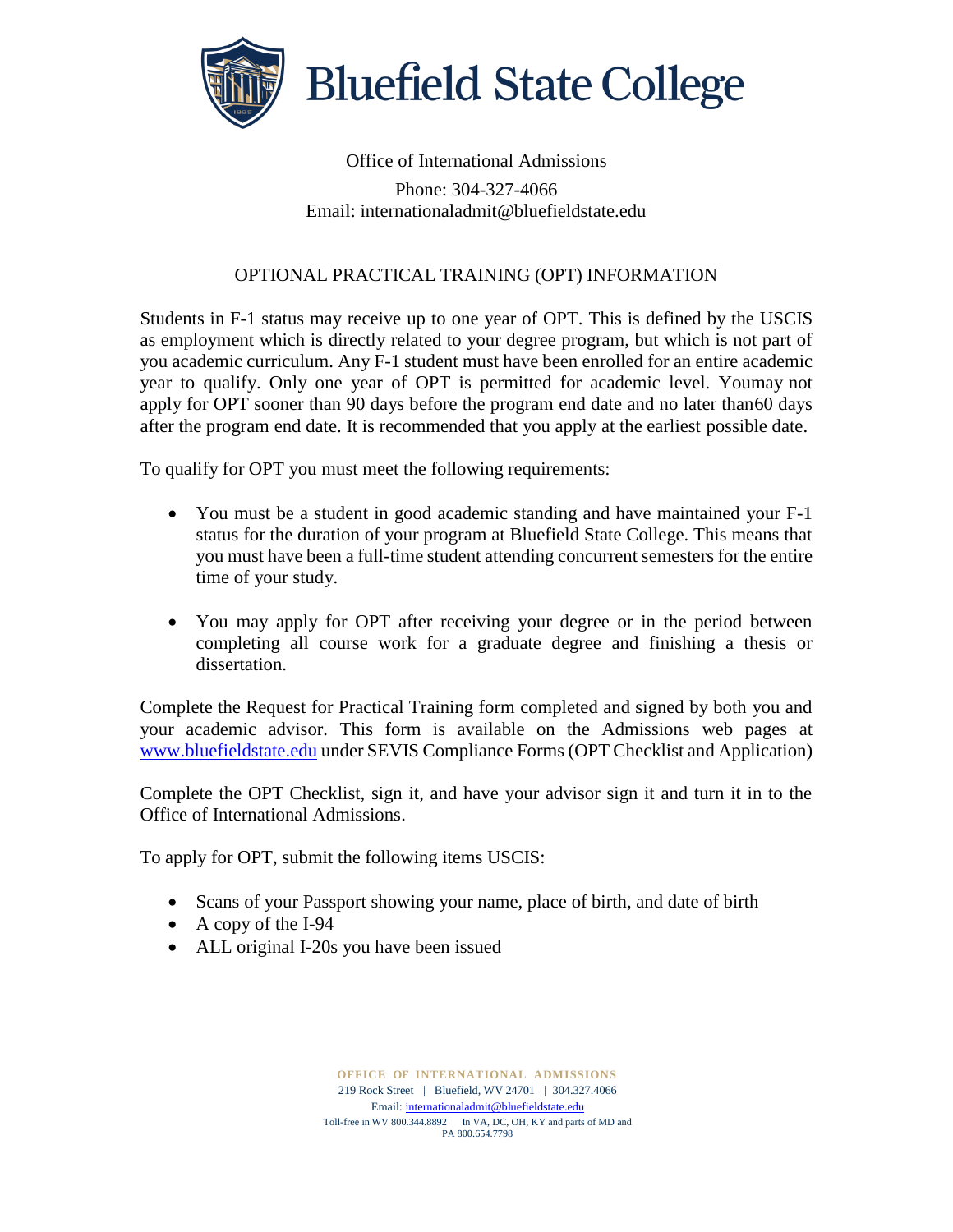

## Office of International Admissions

Phone: 304-327-4066 Email: internationaladmit@bluefieldstate.edu

## OPTIONAL PRACTICAL TRAINING (OPT) INFORMATION

Students in F-1 status may receive up to one year of OPT. This is defined by the USCIS as employment which is directly related to your degree program, but which is not part of you academic curriculum. Any F-1 student must have been enrolled for an entire academic year to qualify. Only one year of OPT is permitted for academic level. Youmay not apply for OPT sooner than 90 days before the program end date and no later than60 days after the program end date. It is recommended that you apply at the earliest possible date.

To qualify for OPT you must meet the following requirements:

- You must be a student in good academic standing and have maintained your F-1 status for the duration of your program at Bluefield State College. This means that you must have been a full-time student attending concurrent semesters for the entire time of your study.
- You may apply for OPT after receiving your degree or in the period between completing all course work for a graduate degree and finishing a thesis or dissertation.

Complete the Request for Practical Training form completed and signed by both you and your academic advisor. This form is available on the Admissions web pages at [www.bluefieldstate.edu](http://www.bluefieldstate.edu/) under SEVIS Compliance Forms (OPT Checklist and Application)

Complete the OPT Checklist, sign it, and have your advisor sign it and turn it in to the Office of International Admissions.

To apply for OPT, submit the following items USCIS:

- Scans of your Passport showing your name, place of birth, and date of birth
- A copy of the I-94
- ALL original I-20s you have been issued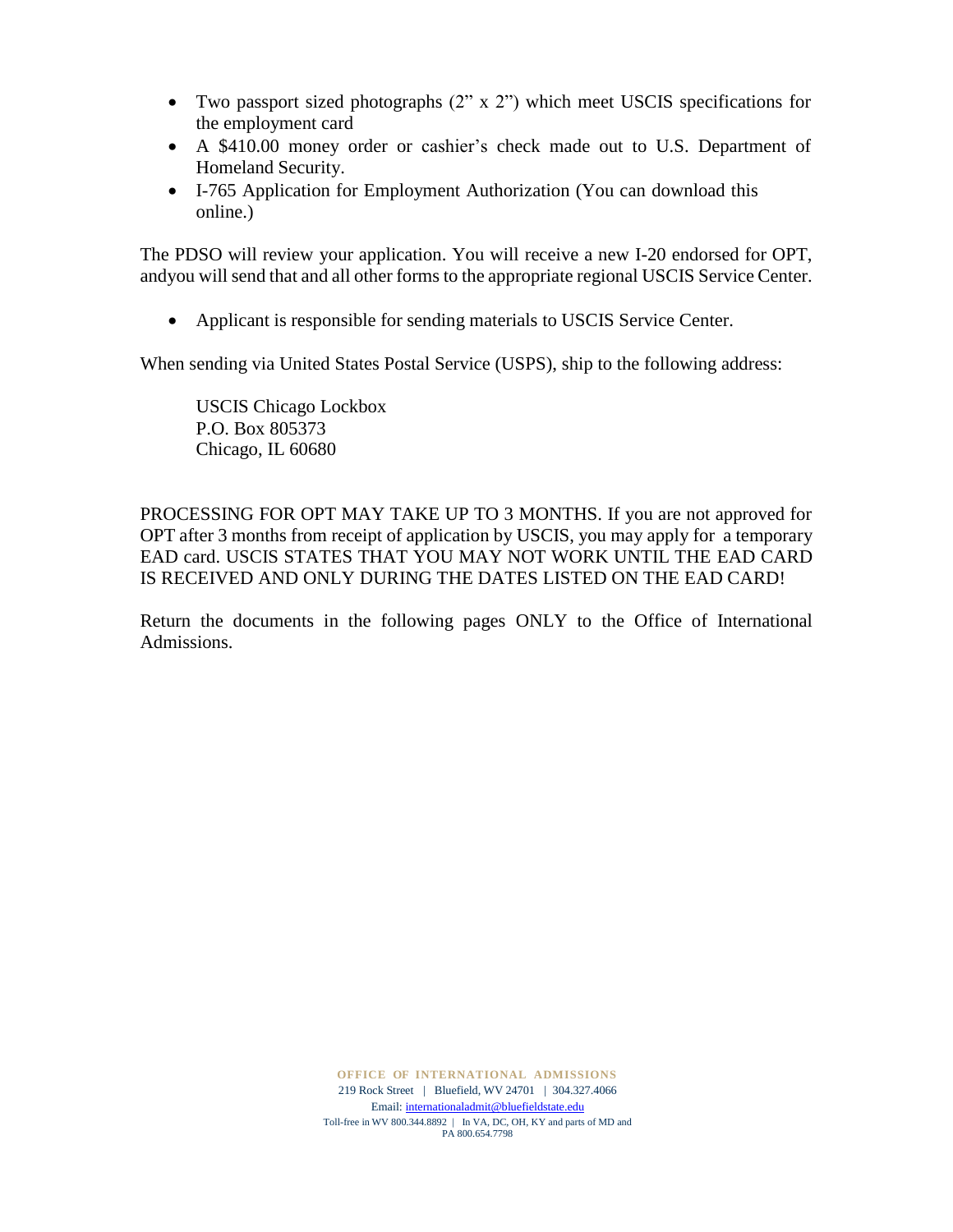- Two passport sized photographs (2" x 2") which meet USCIS specifications for the employment card
- A \$410.00 money order or cashier's check made out to U.S. Department of Homeland Security.
- I-765 Application for Employment Authorization (You can download this online.)

The PDSO will review your application. You will receive a new I-20 endorsed for OPT, andyou will send that and all other forms to the appropriate regional USCIS Service Center.

• Applicant is responsible for sending materials to USCIS Service Center.

When sending via United States Postal Service (USPS), ship to the following address:

USCIS Chicago Lockbox P.O. Box 805373 Chicago, IL 60680

PROCESSING FOR OPT MAY TAKE UP TO 3 MONTHS. If you are not approved for OPT after 3 months from receipt of application by USCIS, you may apply for a temporary EAD card. USCIS STATES THAT YOU MAY NOT WORK UNTIL THE EAD CARD IS RECEIVED AND ONLY DURING THE DATES LISTED ON THE EAD CARD!

Return the documents in the following pages ONLY to the Office of International Admissions.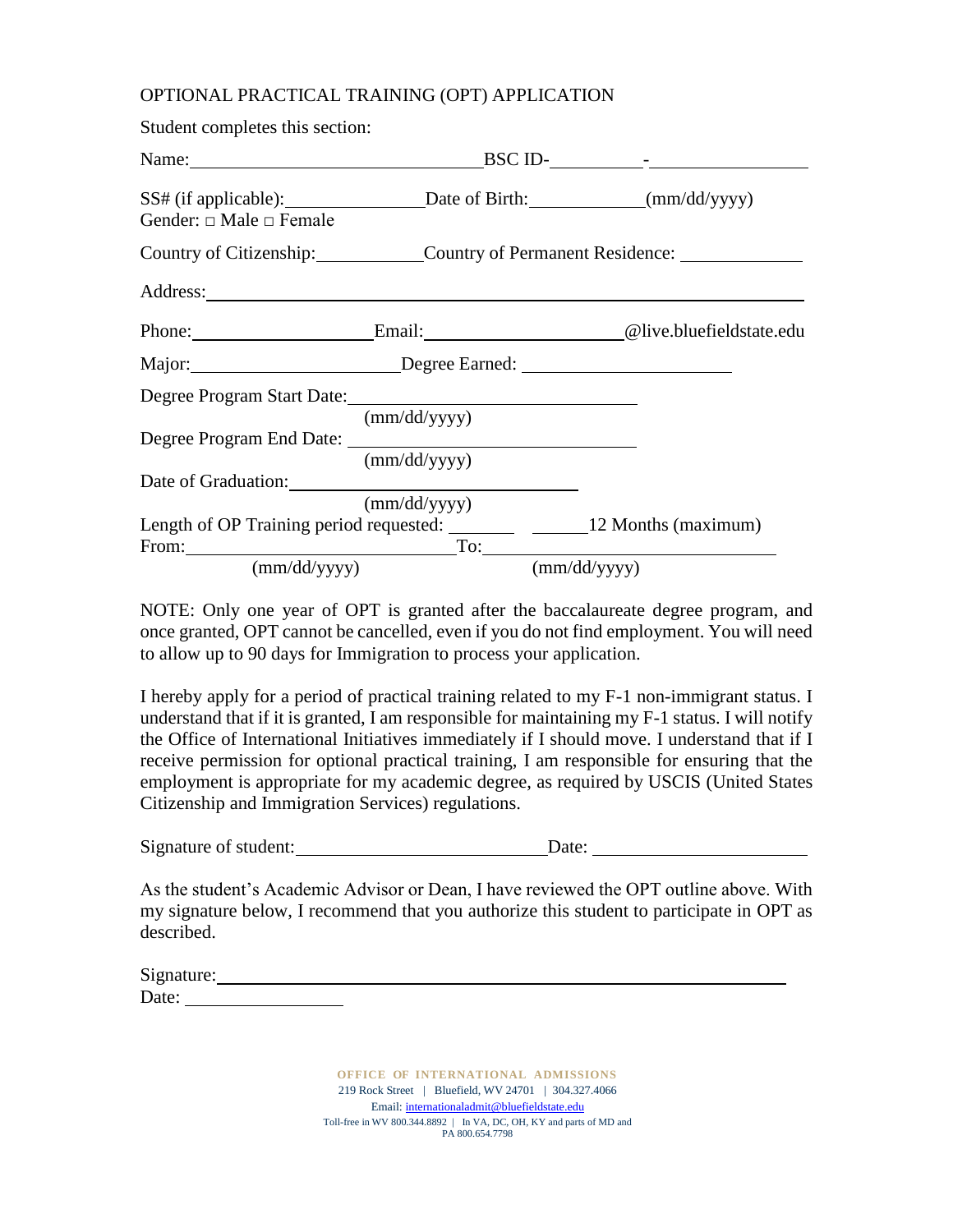## OPTIONAL PRACTICAL TRAINING (OPT) APPLICATION

| Student completes this section:                                                                                |                                       |                                 |
|----------------------------------------------------------------------------------------------------------------|---------------------------------------|---------------------------------|
| Name: 2008. 2010. 2010. 2010. 2010. 2010. 2010. 2010. 2010. 2011. 2012. 2014. 2016. 2017. 2018. 2019. 2010. 20 |                                       | BSC ID- $\frac{1}{\sqrt{2\pi}}$ |
| Gender: $\Box$ Male $\Box$ Female                                                                              |                                       |                                 |
| Country of Citizenship: Country of Permanent Residence: Country of Permanent Residence:                        |                                       |                                 |
|                                                                                                                |                                       |                                 |
| Phone: Email: Communication Chive.bluefieldstate.edu                                                           |                                       |                                 |
| Major: Degree Earned: 2008. [2013] Degree Earned:                                                              |                                       |                                 |
|                                                                                                                |                                       |                                 |
|                                                                                                                | (mm/dd/yyyy)<br>$\text{(mm/dd/yyyy)}$ |                                 |
| Date of Graduation: Note that the set of Graduation:                                                           |                                       |                                 |
|                                                                                                                | (mm/dd/yyyy)                          |                                 |
| Length of OP Training period requested: ___________ _______ 12 Months (maximum)                                |                                       |                                 |
| $\text{mm}/\text{dd}/\text{yyy}$                                                                               | $\text{(mm/dd/yyyy)}$                 |                                 |

NOTE: Only one year of OPT is granted after the baccalaureate degree program, and once granted, OPT cannot be cancelled, even if you do not find employment. You will need to allow up to 90 days for Immigration to process your application.

I hereby apply for a period of practical training related to my F-1 non-immigrant status. I understand that if it is granted, I am responsible for maintaining my F-1 status. I will notify the Office of International Initiatives immediately if I should move. I understand that if I receive permission for optional practical training, I am responsible for ensuring that the employment is appropriate for my academic degree, as required by USCIS (United States Citizenship and Immigration Services) regulations.

| Signature of student: | Date: |  |
|-----------------------|-------|--|
|-----------------------|-------|--|

As the student's Academic Advisor or Dean, I have reviewed the OPT outline above. With my signature below, I recommend that you authorize this student to participate in OPT as described.

| Signature: |  |  |  |
|------------|--|--|--|
| Date:      |  |  |  |